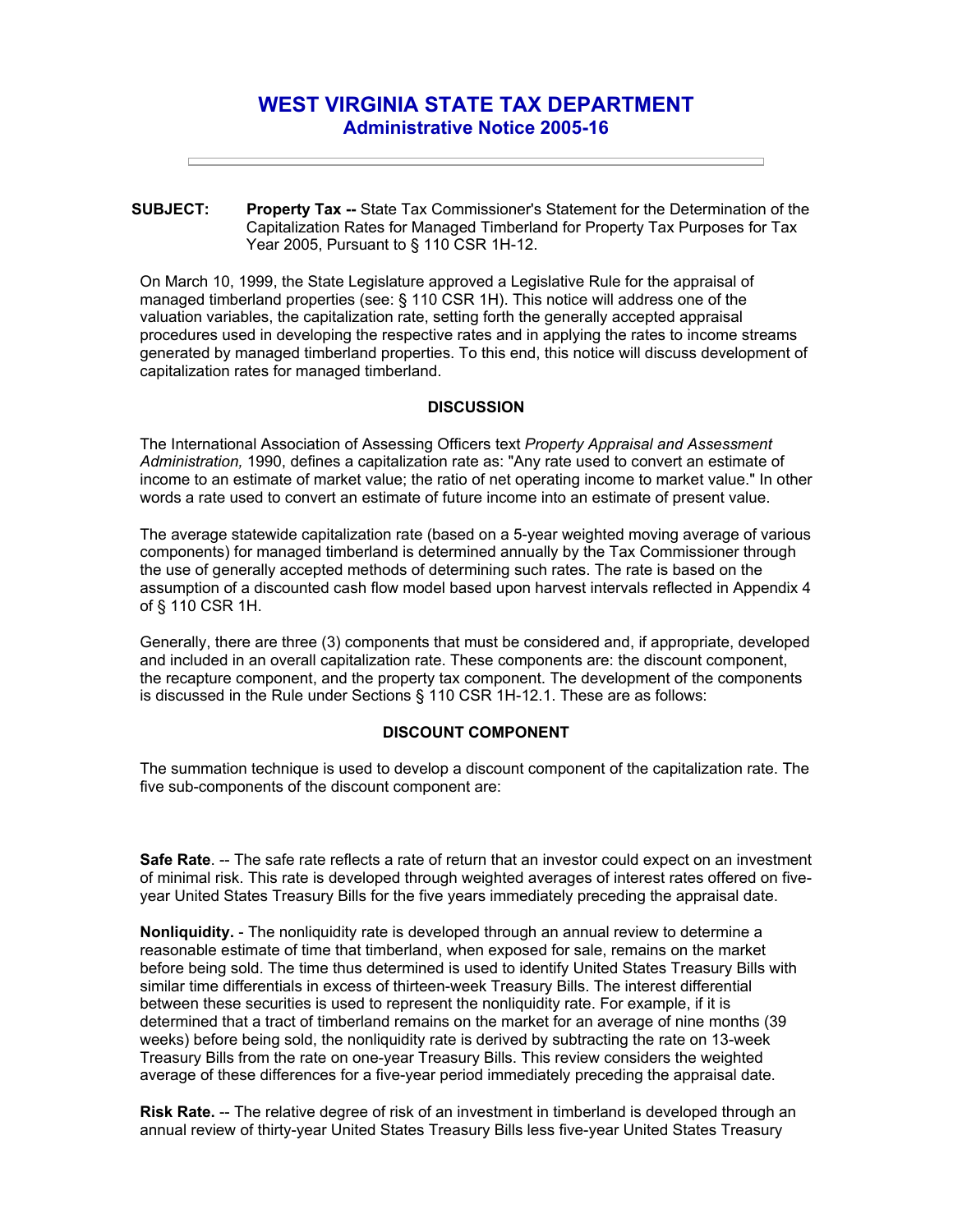# **WEST VIRGINIA STATE TAX DEPARTMENT Administrative Notice 2005-16**

**SUBJECT: Property Tax --** State Tax Commissioner's Statement for the Determination of the Capitalization Rates for Managed Timberland for Property Tax Purposes for Tax Year 2005, Pursuant to § 110 CSR 1H-12.

On March 10, 1999, the State Legislature approved a Legislative Rule for the appraisal of managed timberland properties (see: § 110 CSR 1H). This notice will address one of the valuation variables, the capitalization rate, setting forth the generally accepted appraisal procedures used in developing the respective rates and in applying the rates to income streams generated by managed timberland properties. To this end, this notice will discuss development of capitalization rates for managed timberland.

#### **DISCUSSION**

The International Association of Assessing Officers text *Property Appraisal and Assessment Administration,* 1990, defines a capitalization rate as: "Any rate used to convert an estimate of income to an estimate of market value; the ratio of net operating income to market value." In other words a rate used to convert an estimate of future income into an estimate of present value.

The average statewide capitalization rate (based on a 5-year weighted moving average of various components) for managed timberland is determined annually by the Tax Commissioner through the use of generally accepted methods of determining such rates. The rate is based on the assumption of a discounted cash flow model based upon harvest intervals reflected in Appendix 4 of § 110 CSR 1H.

Generally, there are three (3) components that must be considered and, if appropriate, developed and included in an overall capitalization rate. These components are: the discount component, the recapture component, and the property tax component. The development of the components is discussed in the Rule under Sections § 110 CSR 1H-12.1. These are as follows:

## **DISCOUNT COMPONENT**

The summation technique is used to develop a discount component of the capitalization rate. The five sub-components of the discount component are:

**Safe Rate**. -- The safe rate reflects a rate of return that an investor could expect on an investment of minimal risk. This rate is developed through weighted averages of interest rates offered on fiveyear United States Treasury Bills for the five years immediately preceding the appraisal date.

**Nonliquidity.** - The nonliquidity rate is developed through an annual review to determine a reasonable estimate of time that timberland, when exposed for sale, remains on the market before being sold. The time thus determined is used to identify United States Treasury Bills with similar time differentials in excess of thirteen-week Treasury Bills. The interest differential between these securities is used to represent the nonliquidity rate. For example, if it is determined that a tract of timberland remains on the market for an average of nine months (39 weeks) before being sold, the nonliquidity rate is derived by subtracting the rate on 13-week Treasury Bills from the rate on one-year Treasury Bills. This review considers the weighted average of these differences for a five-year period immediately preceding the appraisal date.

**Risk Rate.** -- The relative degree of risk of an investment in timberland is developed through an annual review of thirty-year United States Treasury Bills less five-year United States Treasury